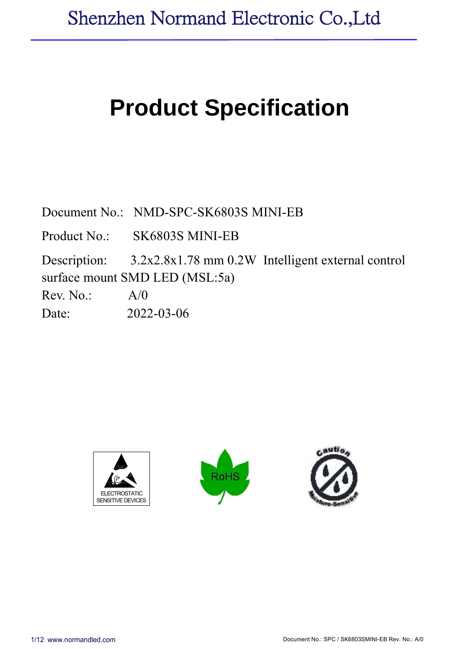# **Product Specification**

Document No.: NMD-SPC-SK6803S MINI-EB

Product No.: SK6803S MINI-EB

Description: 3.2x2.8x1.78 mm 0.2W Intelligent external control surface mount SMD LED (MSL:5a)

 $Rev. No.: A/0$ 

Date: 2022-03-06





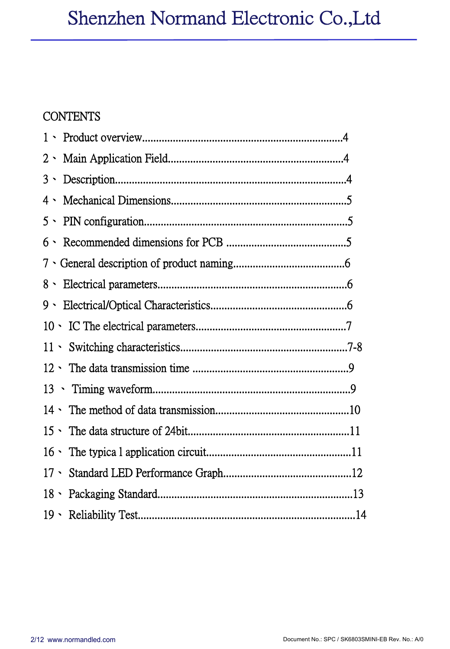#### **CONTENTS**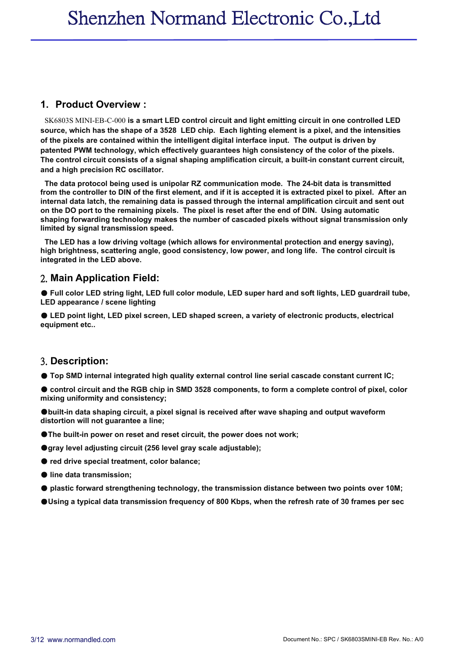#### **1. Product Overview :**

SK6803S MINI-EB-C-000 **is a smart LED control circuit and light emitting circuit in one controlled LED** source, which has the shape of a 3528 LED chip. Each lighting element is a pixel, and the intensities **of the pixels are contained within the intelligent digital interface input. The output is driven by patented PWM technology, which effectively guarantees high consistency of the color of the pixels. The control circuit consists of a signal shaping amplification circuit, a built-in constant current circuit, and a high precision RC oscillator.**

**The data protocol being used is unipolar RZ communication mode. The 24-bit data is transmitted** from the controller to DIN of the first element, and if it is accepted it is extracted pixel to pixel. After an **internal data latch, the remaining data is passed through the internal amplification circuit and sent out** on the DO port to the remaining pixels. The pixel is reset after the end of DIN. Using automatic **shaping forwarding technology makes the number of cascaded pixels without signal transmission only limited by signal transmission speed.**

**The LED has a low driving voltage (which allows for environmental protection and energy saving), high brightness, scattering angle, good consistency,low power, and long life. The control circuit is integrated in the LED above.**

#### 2. **Main Application Field:**

● Full color LED string light, LED full color module, LED super hard and soft lights, LED guardrail tube, **LED appearance / scene lighting**

● **LED point light, LED pixel screen, LED shaped screen, a variety of electronic products, electrical equipment etc..**

#### 3. **Description:**

● **Top SMD internalintegrated high quality external control line serial cascade constant current IC;**

Control circuit and the RGB chip in SMD 3528 components, to form a complete control of pixel, color **mixing uniformity and consistency;**

●**built-in data shaping circuit, a pixel signal is received after wave shaping and output waveform distortion will not guarantee a line;**

- ●**The built-in power on reset and reset circuit, the power does not work;**
- ●**gray level adjusting circuit (256 level gray scale adjustable);**
- **red drive specialtreatment, color balance;**
- **line data transmission;**
- **plastic forward strengthening technology, the transmission distance between two points over 10M;**
- $\bullet$ Using a typical data transmission frequency of 800 Kbps, when the refresh rate of 30 frames per sec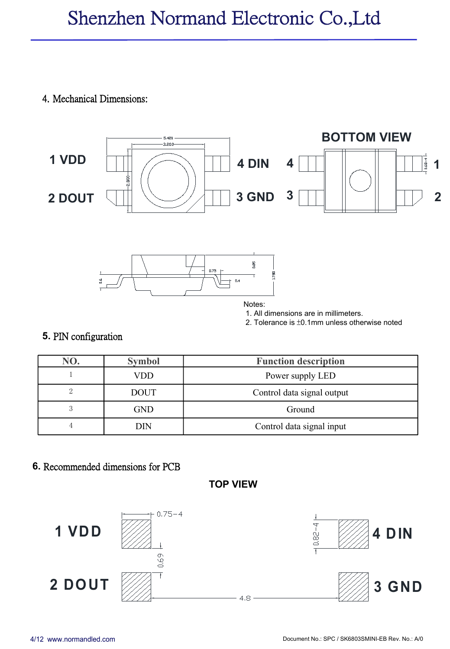#### 4. Mechanical Dimensions:







Notes:<br>1. All dimensions are in millimeters.

2. Tolerance is  $\pm 0.1$ mm unless otherwise noted

### **5.** PIN configuration

| NO. | <b>Symbol</b> | <b>Function description</b> |
|-----|---------------|-----------------------------|
|     | VDD           | Power supply LED            |
|     | <b>DOUT</b>   | Control data signal output  |
|     | <b>GND</b>    | Ground                      |
|     | DIN           | Control data signal input   |

#### **6.** Recommended dimensions for PCB



**TOP VIEW**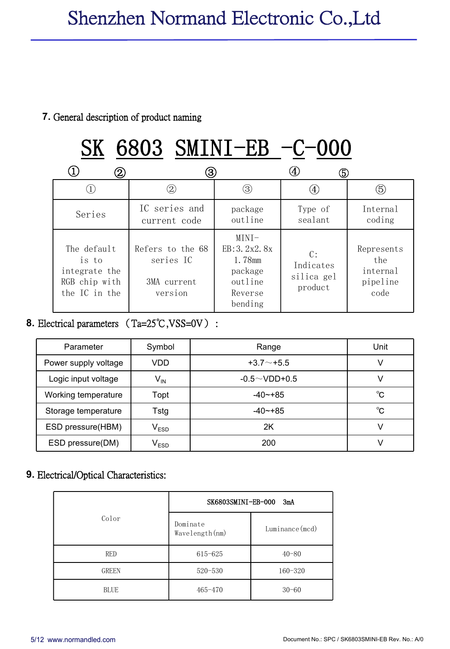#### **7.** General description of product naming

#### $\begin{array}{ccccccc} \textcircled{1} & & \textcircled{2} & & \textcircled{3} & & \textcircled{4} & & \textcircled{5} \end{array}$ SK 6803 SMINI-EB -C-000  $\textcircled{1}$  (2) (3) (4) (5) Series IC series and package current code Type of outline sealant coding Type of Internal coding The default Refers to the  $68$  EB:3.2x2.8x is to series IC integrate the RGB chip with the IC in the 3MA current version MINI-EB:  $3.2x2.8x$  C: 1.78mm package outline Reverse bending C: Represents Indicates silica gel product the internal pipeline code  $\circledcirc$

#### **8.** Electrical parameters (Ta=25℃,VSS=0V) :

| Parameter            | Symbol     | Range               | Unit |
|----------------------|------------|---------------------|------|
| Power supply voltage | <b>VDD</b> | $+3.7 - +5.5$       |      |
| Logic input voltage  | $V_{IN}$   | $-0.5 \sim$ VDD+0.5 |      |
| Working temperature  | Topt       | $-40 - +85$         | °C   |
| Storage temperature  | Tstg       | $-40 - +85$         | °C   |
| ESD pressure(HBM)    | $V_{ESD}$  | 2K                  |      |
| ESD pressure(DM)     | $V_{ESD}$  | 200                 |      |

#### **9.** Electrical/Optical Characteristics:

|              | SK6803SMINI-EB-000 3mA      |                 |  |  |
|--------------|-----------------------------|-----------------|--|--|
| Color        | Dominate<br>Wavelength (nm) | Luminance (mcd) |  |  |
| RED          | 615-625                     | $40 - 80$       |  |  |
| <b>GREEN</b> | $520 - 530$                 | $160 - 320$     |  |  |
| <b>BLUE</b>  | $465 - 470$                 | $30 - 60$       |  |  |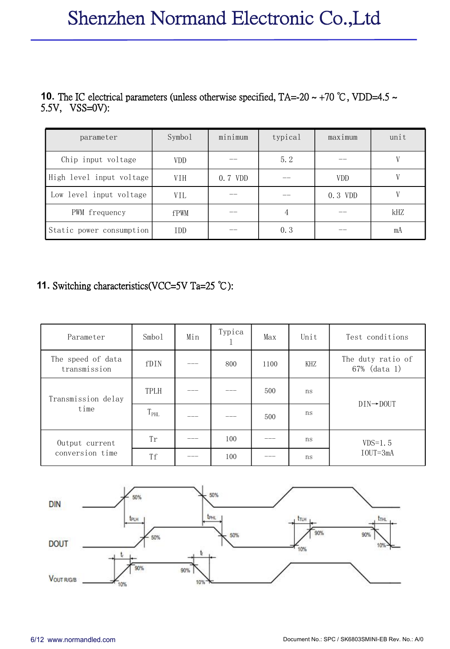## Shenzhen Normand Electronic Co.,Ltd

# **10.** The IC electrical parameters (unless otherwise specified, TA=-20 ~ +70 °C, VDD=4.5 ~ 5.5V, VSS=0V):

| parameter                | Symbol     | minimum | typical | maximum    | unit |
|--------------------------|------------|---------|---------|------------|------|
| Chip input voltage       | <b>VDD</b> | __      | 5.2     | --         |      |
| High level input voltage | <b>VIH</b> | 0.7 VDD | __      | <b>VDD</b> |      |
| Low level input voltage  | VIL        | __      |         | 0.3 VDD    |      |
| PWM frequency            | fPWM       | __      |         | __         | kHZ  |
| Static power consumption | <b>IDD</b> | __      | 0.3     |            | mA   |

#### **11.** Switching characteristics(VCC=5V Ta=25 ℃):

| Parameter                         | Smbo1         | Min | Typica | Max  | Unit | Test conditions                   |  |
|-----------------------------------|---------------|-----|--------|------|------|-----------------------------------|--|
| The speed of data<br>transmission | fDIN          | ___ | 800    | 1100 | KHZ  | The duty ratio of<br>67% (data 1) |  |
| Transmission delay                | TPLH          |     |        | 500  | ns   | $DIN \rightarrow DOUT$            |  |
| time                              | $T_{\rm PHL}$ |     |        | 500  | ns   |                                   |  |
| Output current                    | Tr            | --- | 100    | ---  | ns   | $VDS=1.5$                         |  |
| conversion time                   | Tf            | --- | 100    | ---  | ns   | $IOUT=3mA$                        |  |

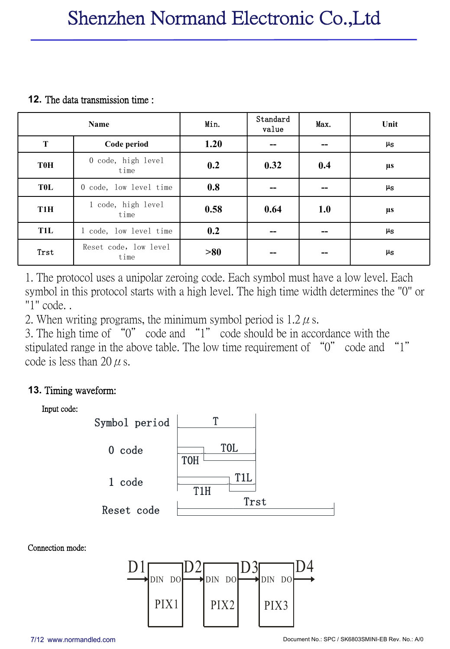#### **12.** The data transmission time :

|                  | Name                          | Min. | Standard<br>value | Max.                                  | Unit          |
|------------------|-------------------------------|------|-------------------|---------------------------------------|---------------|
| T                | Code period                   | 1.20 | --                | $- -$                                 | $\mu$ s       |
| <b>T0H</b>       | 0 code, high level<br>time    | 0.2  | 0.32              | 0.4                                   | μs            |
| <b>TOL</b>       | 0 code, low level time        | 0.8  | --                | --                                    | $\mu_{\rm S}$ |
| T <sub>1</sub> H | 1 code, high level<br>time    | 0.58 | 0.64              | 1.0                                   | $\mu s$       |
| <b>T1L</b>       | 1 code, low level time        | 0.2  | --                | $\hspace{0.05cm}$ – $\hspace{0.05cm}$ | $\mu$ s       |
| Trst             | Reset code, low level<br>time | >80  |                   | --                                    | $\mu_{\rm S}$ |

1. The protocol uses a unipolar zeroing code. Each symbol must have a low level. Each symbol in this protocol starts with a high level. The high time width determines the "0" or "1" code. .

2. When writing programs, the minimum symbol period is  $1.2 \mu$  s.

3. The high time of "0" code and "1" code should be in accordance with the stipulated range in the above table. The low time requirement of "0" code and "1" code is less than 20  $\mu$  s.

#### **13.** Timing waveform:



Connection mode:

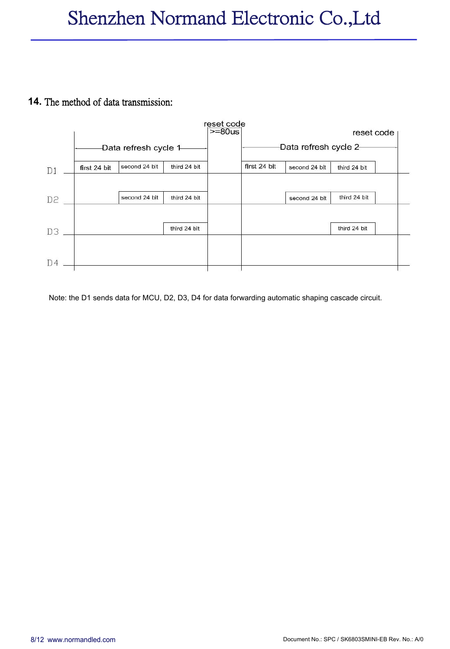#### **14.** The method of data transmission:



Note: the D1 sends data for MCU, D2, D3, D4 for data forwarding automatic shaping cascade circuit.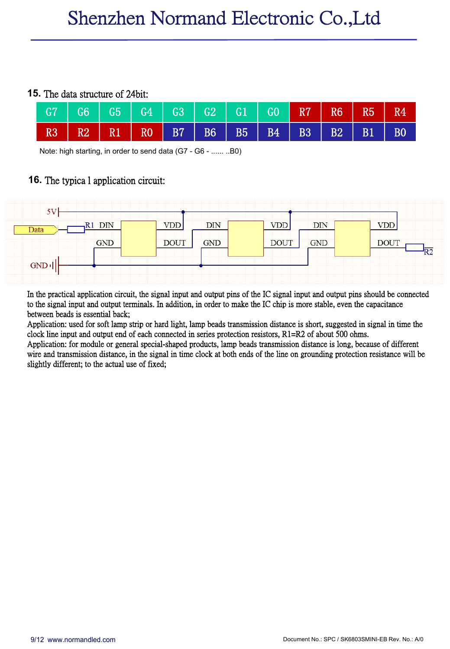#### **15.** The data structure of 24bit:



Note: high starting, in order to send data (G7 - G6 - ...... ..B0)

#### **16.** The typica l application circuit:



In the practical application circuit, the signal input and output pins of the IC signal input and output pins should be connected to the signal input and output terminals. In addition, in order to make the IC chip is more stable, even the capacitance between beads is essential back;

Application: used for soft lamp strip or hard light, lamp beads transmission distance is short, suggested in signal in time the clock line input and output end of each connected in series protection resistors, R1=R2 of abo

Application: for module or general special-shaped products, lamp beads transmission distance is long, because of different wire and transmission distance, in the signal in time clock at both ends of the line on grounding p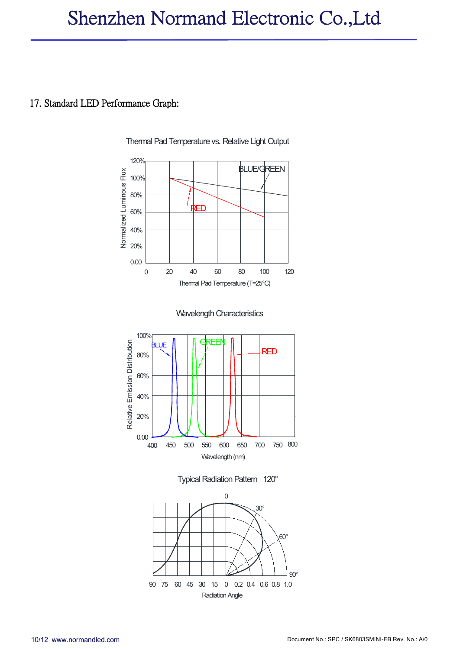### Shenzhen Normand Electronic Co.,Ltd

#### 17. Standard LED Performance Graph:







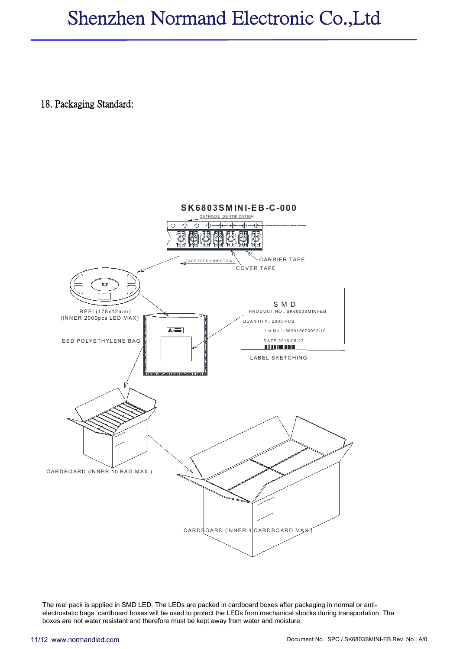### Shenzhen Normand Electronic Co.,Ltd

#### 18. Packaging Standard:



The reel pack is applied in SMD LED. The LEDs are packed in cardboard boxes after packaging in normal or anti electrostatic bags. cardboard boxes will be used to protect the LEDs from mechanical shocks during transportation. The boxes are not water resistant and therefore must be kept away from water and moisture.